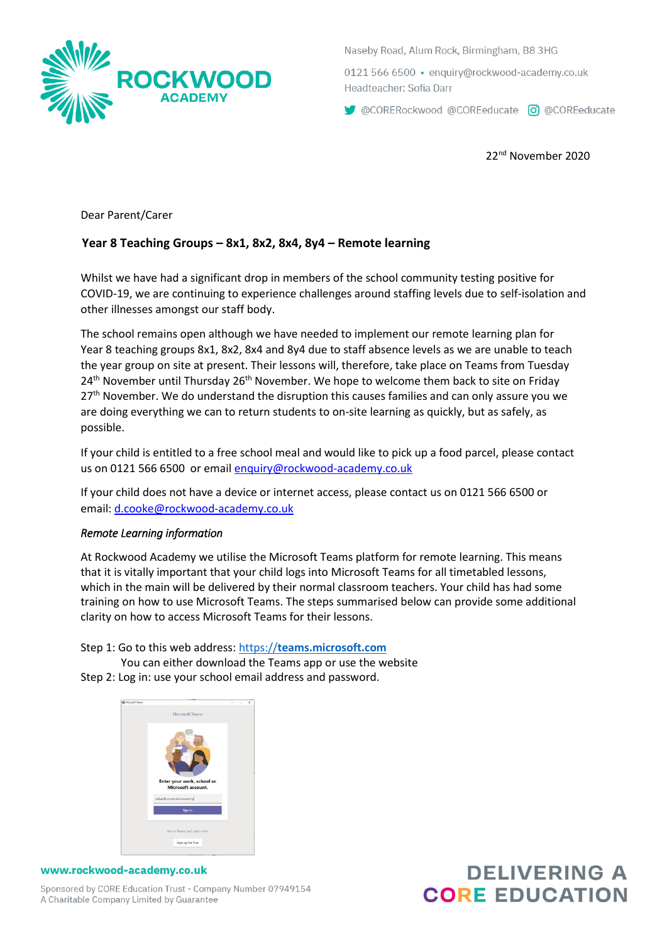

Naseby Road, Alum Rock, Birmingham, B8 3HG

0121 566 6500 · enquiry@rockwood-academy.co.uk Headteacher: Sofia Darr

CORERockwood @COREeducate co @COREeducate

22nd November 2020

Dear Parent/Carer

## **Year 8 Teaching Groups – 8x1, 8x2, 8x4, 8y4 – Remote learning**

Whilst we have had a significant drop in members of the school community testing positive for COVID-19, we are continuing to experience challenges around staffing levels due to self-isolation and other illnesses amongst our staff body.

The school remains open although we have needed to implement our remote learning plan for Year 8 teaching groups 8x1, 8x2, 8x4 and 8y4 due to staff absence levels as we are unable to teach the year group on site at present. Their lessons will, therefore, take place on Teams from Tuesday  $24<sup>th</sup>$  November until Thursday  $26<sup>th</sup>$  November. We hope to welcome them back to site on Friday 27<sup>th</sup> November. We do understand the disruption this causes families and can only assure you we are doing everything we can to return students to on-site learning as quickly, but as safely, as possible.

If your child is entitled to a free school meal and would like to pick up a food parcel, please contact us on 0121 566 6500 or email [enquiry@rockwood-academy.co.uk](mailto:enquiry@rockwood-academy.co.uk)

If your child does not have a device or internet access, please contact us on 0121 566 6500 or email: [d.cooke@rockwood-academy.co.uk](mailto:d.cooke@rockwood-academy.co.uk)

## *Remote Learning information*

At Rockwood Academy we utilise the Microsoft Teams platform for remote learning. This means that it is vitally important that your child logs into Microsoft Teams for all timetabled lessons, which in the main will be delivered by their normal classroom teachers. Your child has had some training on how to use Microsoft Teams. The steps summarised below can provide some additional clarity on how to access Microsoft Teams for their lessons.

Step 1: Go to this web address: https://**teams.microsoft.com**

You can either download the Teams app or use the website





## www.rockwood-academy.co.uk

Sponsored by CORE Education Trust - Company Number 07949154 A Charitable Company Limited by Guarantee

## **DELIVERING A CORE EDUCATION**